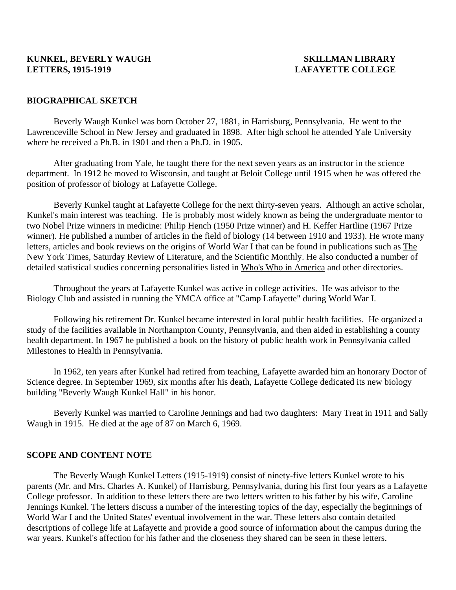# **KUNKEL, BEVERLY WAUGH SKILLMAN LIBRARY LETTERS, 1915-1919 LAFAYETTE COLLEGE**

## **BIOGRAPHICAL SKETCH**

 Beverly Waugh Kunkel was born October 27, 1881, in Harrisburg, Pennsylvania. He went to the Lawrenceville School in New Jersey and graduated in 1898. After high school he attended Yale University where he received a Ph.B. in 1901 and then a Ph.D. in 1905.

After graduating from Yale, he taught there for the next seven years as an instructor in the science department. In 1912 he moved to Wisconsin, and taught at Beloit College until 1915 when he was offered the position of professor of biology at Lafayette College.

Beverly Kunkel taught at Lafayette College for the next thirty-seven years. Although an active scholar, Kunkel's main interest was teaching. He is probably most widely known as being the undergraduate mentor to two Nobel Prize winners in medicine: Philip Hench (1950 Prize winner) and H. Keffer Hartline (1967 Prize winner). He published a number of articles in the field of biology (14 between 1910 and 1933). He wrote many letters, articles and book reviews on the origins of World War I that can be found in publications such as The New York Times, Saturday Review of Literature, and the Scientific Monthly. He also conducted a number of detailed statistical studies concerning personalities listed in Who's Who in America and other directories.

Throughout the years at Lafayette Kunkel was active in college activities. He was advisor to the Biology Club and assisted in running the YMCA office at "Camp Lafayette" during World War I.

Following his retirement Dr. Kunkel became interested in local public health facilities. He organized a study of the facilities available in Northampton County, Pennsylvania, and then aided in establishing a county health department. In 1967 he published a book on the history of public health work in Pennsylvania called Milestones to Health in Pennsylvania.

In 1962, ten years after Kunkel had retired from teaching, Lafayette awarded him an honorary Doctor of Science degree. In September 1969, six months after his death, Lafayette College dedicated its new biology building "Beverly Waugh Kunkel Hall" in his honor.

Beverly Kunkel was married to Caroline Jennings and had two daughters: Mary Treat in 1911 and Sally Waugh in 1915. He died at the age of 87 on March 6, 1969.

### **SCOPE AND CONTENT NOTE**

 The Beverly Waugh Kunkel Letters (1915-1919) consist of ninety-five letters Kunkel wrote to his parents (Mr. and Mrs. Charles A. Kunkel) of Harrisburg, Pennsylvania, during his first four years as a Lafayette College professor. In addition to these letters there are two letters written to his father by his wife, Caroline Jennings Kunkel. The letters discuss a number of the interesting topics of the day, especially the beginnings of World War I and the United States' eventual involvement in the war. These letters also contain detailed descriptions of college life at Lafayette and provide a good source of information about the campus during the war years. Kunkel's affection for his father and the closeness they shared can be seen in these letters.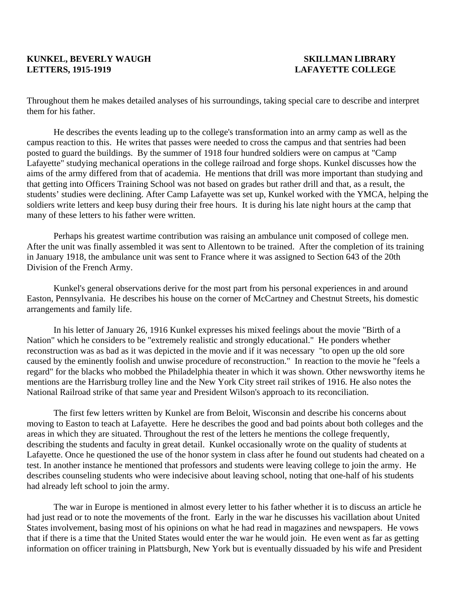# **KUNKEL, BEVERLY WAUGH SKILLMAN LIBRARY LETTERS, 1915-1919 LAFAYETTE COLLEGE**

Throughout them he makes detailed analyses of his surroundings, taking special care to describe and interpret them for his father.

He describes the events leading up to the college's transformation into an army camp as well as the campus reaction to this. He writes that passes were needed to cross the campus and that sentries had been posted to guard the buildings. By the summer of 1918 four hundred soldiers were on campus at "Camp Lafayette" studying mechanical operations in the college railroad and forge shops. Kunkel discusses how the aims of the army differed from that of academia. He mentions that drill was more important than studying and that getting into Officers Training School was not based on grades but rather drill and that, as a result, the students' studies were declining. After Camp Lafayette was set up, Kunkel worked with the YMCA, helping the soldiers write letters and keep busy during their free hours. It is during his late night hours at the camp that many of these letters to his father were written.

 Perhaps his greatest wartime contribution was raising an ambulance unit composed of college men. After the unit was finally assembled it was sent to Allentown to be trained. After the completion of its training in January 1918, the ambulance unit was sent to France where it was assigned to Section 643 of the 20th Division of the French Army.

 Kunkel's general observations derive for the most part from his personal experiences in and around Easton, Pennsylvania. He describes his house on the corner of McCartney and Chestnut Streets, his domestic arrangements and family life.

 In his letter of January 26, 1916 Kunkel expresses his mixed feelings about the movie "Birth of a Nation" which he considers to be "extremely realistic and strongly educational." He ponders whether reconstruction was as bad as it was depicted in the movie and if it was necessary "to open up the old sore caused by the eminently foolish and unwise procedure of reconstruction." In reaction to the movie he "feels a regard" for the blacks who mobbed the Philadelphia theater in which it was shown. Other newsworthy items he mentions are the Harrisburg trolley line and the New York City street rail strikes of 1916. He also notes the National Railroad strike of that same year and President Wilson's approach to its reconciliation.

 The first few letters written by Kunkel are from Beloit, Wisconsin and describe his concerns about moving to Easton to teach at Lafayette. Here he describes the good and bad points about both colleges and the areas in which they are situated. Throughout the rest of the letters he mentions the college frequently, describing the students and faculty in great detail. Kunkel occasionally wrote on the quality of students at Lafayette. Once he questioned the use of the honor system in class after he found out students had cheated on a test. In another instance he mentioned that professors and students were leaving college to join the army. He describes counseling students who were indecisive about leaving school, noting that one-half of his students had already left school to join the army.

 The war in Europe is mentioned in almost every letter to his father whether it is to discuss an article he had just read or to note the movements of the front. Early in the war he discusses his vacillation about United States involvement, basing most of his opinions on what he had read in magazines and newspapers. He vows that if there is a time that the United States would enter the war he would join. He even went as far as getting information on officer training in Plattsburgh, New York but is eventually dissuaded by his wife and President